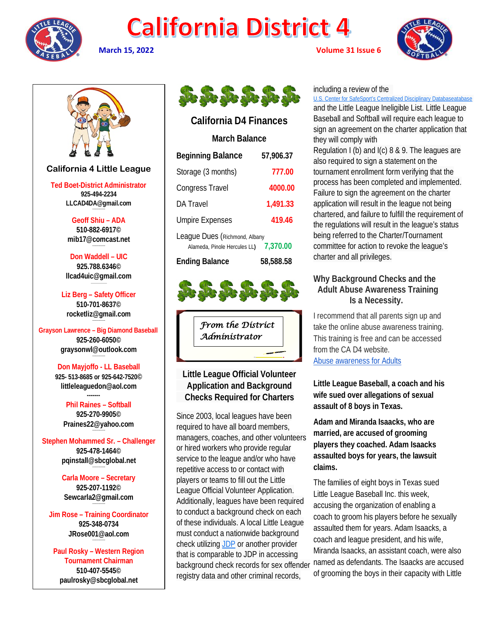

# **California District 4**







### **California 4 Little League**

**Ted Boet-District Administrator 925-494-2234 LLCAD4DA@gmail.com**

> **Geoff Shiu – ADA 510-882-6917© [mib17@comcast.net](mailto:mib17@comcast.net)**

**Don Waddell – UIC 925.788.6346© [llcad4uic@gmail.com](mailto:llcad4uic@gmail.com)**

**Liz Berg – Safety Officer 510-701-8637© [rocketliz@gmail.com](mailto:rocketliz@gmail.com)**

**Grayson Lawrence – Big Diamond Baseball 925-260-6050© graysonwl@outlook.com**

**--------------------**

**Don Mayjoffo - LL Baseball 925- 513-8685 or 925-642-7520© littleleaguedon@aol.com**

 **-------**

**Phil Raines – Softball 925-270-9905© [Praines22@yahoo.com](mailto:Praines22@yahoo.com)**

**Stephen Mohammed Sr. – Challenger 925-478-1464© [pqinstall@sbcglobal.net](mailto:pqinstall@sbcglobal.net)**

> **Carla Moore – Secretary 925-207-1192© [Sewcarla2@gmail.com](mailto:Sewcarla2@gmail.com)**

**Jim Rose – Training Coordinator 925-348-0734 JRose001@aol.com**

**Paul Rosky – Western Region Tournament Chairman 510-407-5545© [paulrosky@sbcglobal.net](mailto:paulrosky@sbcglobal.net)**



## **California D4 Finances**

| <b>March Balance</b>                                          |           |
|---------------------------------------------------------------|-----------|
| <b>Beginning Balance</b>                                      | 57,906.37 |
| Storage (3 months)                                            | 777.00    |
| <b>Congress Travel</b>                                        | 4000.00   |
| DA Travel                                                     | 1,491.33  |
| <b>Umpire Expenses</b>                                        | 419.46    |
| League Dues (Richmond, Albany<br>Alameda, Pinole Hercules LL) | 7,370.00  |
| <b>Ending Balance</b>                                         | 58,588.58 |





#### **Little League Official Volunteer Application and Background Checks Required for Charters**

Since 2003, local leagues have been required to have all board members, managers, coaches, and other volunteers or hired workers who provide regular service to the league and/or who have repetitive access to or contact with players or teams to fill out the Little League Official Volunteer Application. Additionally, leagues have been required to conduct a background check on each of these individuals. A local Little League must conduct a nationwide background check utilizing [JDP](https://www.littleleague.org/player-safety/child-protection-program/jdp-faqs/) or another provider that is comparable to JDP in accessing background check records for sex offender registry data and other criminal records,

including a review of the<br>[U.S.](https://uscenterforsafesport.org/response-and-resolution/disciplinary-database/) Center for SafeSport's Centralized Disciplinary Databaseatabase and the Little League Ineligible List. Little League Baseball and Softball will require each league to sign an agreement on the charter application that they will comply with

Regulation I (b) and I(c) 8 & 9. The leagues are also required to sign a statement on the tournament enrollment form verifying that the process has been completed and implemented. Failure to sign the agreement on the charter application will result in the league not being chartered, and failure to fulfill the requirement of the regulations will result in the league's status being referred to the Charter/Tournament committee for action to revoke the league's charter and all privileges.

#### **Why Background Checks and the Adult Abuse Awareness Training Is a Necessity.**

I recommend that all parents sign up and take the online abuse awareness training. This training is free and can be accessed from the CA D4 website. [Abuse awareness for Adults](http://usabdevelops.com/ItemDetail?iProductCode=OCAAA&Category=ONLINE&WebsiteKey=f50aacb2-a59e-4e43-8f67-29f48a308a9e)

#### **Little League Baseball, a coach and his wife sued over allegations of sexual assault of 8 boys in Texas.**

**Adam and Miranda Isaacks, who are married, are accused of grooming players they coached. Adam Isaacks assaulted boys for years, the lawsuit claims.**

The families of eight boys in Texas sued Little League Baseball Inc. this week, accusing the organization of enabling a coach to groom his players before he sexually assaulted them for years. Adam Isaacks, a coach and league president, and his wife, Miranda Isaacks, an assistant coach, were also named as defendants. The Isaacks are accused of grooming the boys in their capacity with Little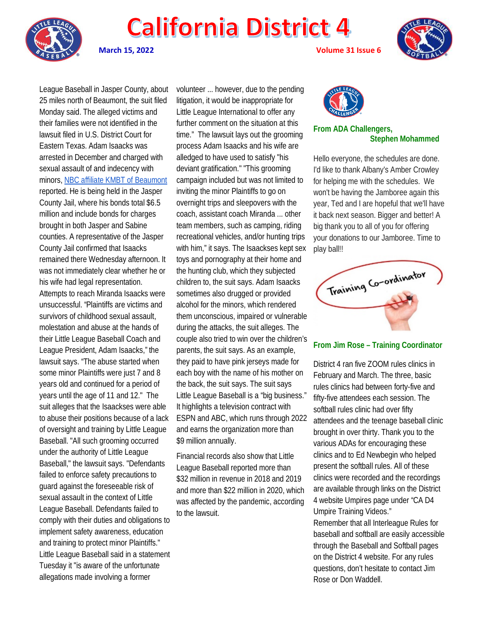

# **California District 4**

**March 15, 2022 Volume 31 Issue 6**



League Baseball in Jasper County, about 25 miles north of Beaumont, the suit filed Monday said. The alleged victims and their families were not identified in the lawsuit filed in U.S. District Court for Eastern Texas. Adam Isaacks was arrested in December and charged with sexual assault of and indecency with minors, [NBC affiliate KMBT of Beaumont](https://www.12newsnow.com/article/news/crime/little-league-baseball-federal-lawsuit-sex-crimes-against-children/502-6b3084a5-c715-45e8-a50a-769ba06ba6b5) reported. He is being held in the Jasper County Jail, where his bonds total \$6.5 million and include bonds for charges brought in both Jasper and Sabine counties. A representative of the Jasper County Jail confirmed that Isaacks remained there Wednesday afternoon. It was not immediately clear whether he or his wife had legal representation. Attempts to reach Miranda Isaacks were unsuccessful. "Plaintiffs are victims and survivors of childhood sexual assault, molestation and abuse at the hands of their Little League Baseball Coach and League President, Adam Isaacks," the lawsuit says. "The abuse started when some minor Plaintiffs were just 7 and 8 years old and continued for a period of years until the age of 11 and 12." The suit alleges that the Isaackses were able to abuse their positions because of a lack of oversight and training by Little League Baseball. "All such grooming occurred under the authority of Little League Baseball," the lawsuit says. "Defendants failed to enforce safety precautions to guard against the foreseeable risk of sexual assault in the context of Little League Baseball. Defendants failed to comply with their duties and obligations to implement safety awareness, education and training to protect minor Plaintiffs." Little League Baseball said in a statement Tuesday it "is aware of the unfortunate allegations made involving a former

volunteer ... however, due to the pending litigation, it would be inappropriate for Little League International to offer any further comment on the situation at this time." The lawsuit lays out the grooming process Adam Isaacks and his wife are alledged to have used to satisfy "his deviant gratification." "This grooming campaign included but was not limited to inviting the minor Plaintiffs to go on overnight trips and sleepovers with the coach, assistant coach Miranda ... other team members, such as camping, riding recreational vehicles, and/or hunting trips with him," it says. The Isaackses kept sex toys and pornography at their home and the hunting club, which they subjected children to, the suit says. Adam Isaacks sometimes also drugged or provided alcohol for the minors, which rendered them unconscious, impaired or vulnerable during the attacks, the suit alleges. The couple also tried to win over the children's parents, the suit says. As an example, they paid to have pink jerseys made for each boy with the name of his mother on the back, the suit says. The suit says Little League Baseball is a "big business." It highlights a television contract with ESPN and ABC, which runs through 2022 and earns the organization more than \$9 million annually.

Financial records also show that Little League Baseball reported more than \$32 million in revenue in 2018 and 2019 and more than \$22 million in 2020, which was affected by the pandemic, according to the lawsuit.



#### **From ADA Challengers, Stephen Mohammed**

Hello everyone, the schedules are done. I'd like to thank Albany's Amber Crowley for helping me with the schedules. We won't be having the Jamboree again this year, Ted and I are hopeful that we'll have it back next season. Bigger and better! A big thank you to all of you for offering your donations to our Jamboree. Time to play ball!!



#### **From Jim Rose – Training Coordinator**

District 4 ran five ZOOM rules clinics in February and March. The three, basic rules clinics had between forty-five and fifty-five attendees each session. The softball rules clinic had over fifty attendees and the teenage baseball clinic brought in over thirty. Thank you to the various ADAs for encouraging these clinics and to Ed Newbegin who helped present the softball rules. All of these clinics were recorded and the recordings are available through links on the District 4 website Umpires page under "CA D4 Umpire Training Videos."

Remember that all Interleague Rules for baseball and softball are easily accessible through the Baseball and Softball pages on the District 4 website. For any rules questions, don't hesitate to contact Jim Rose or Don Waddell.